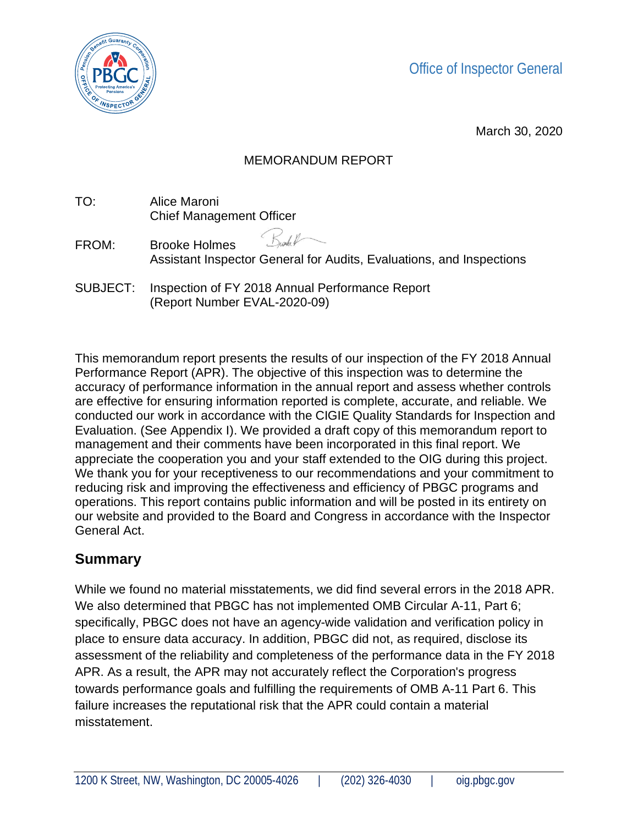



March 30, 2020

### MEMORANDUM REPORT

TO: Alice Maroni Chief Management Officer

SUBJECT: Inspection of FY 2018 Annual Performance Report (Report Number EVAL-2020-09)

This memorandum report presents the results of our inspection of the FY 2018 Annual Performance Report (APR). The objective of this inspection was to determine the accuracy of performance information in the annual report and assess whether controls are effective for ensuring information reported is complete, accurate, and reliable. We conducted our work in accordance with the CIGIE Quality Standards for Inspection and Evaluation. (See Appendix I). We provided a draft copy of this memorandum report to management and their comments have been incorporated in this final report. We appreciate the cooperation you and your staff extended to the OIG during this project. We thank you for your receptiveness to our recommendations and your commitment to reducing risk and improving the effectiveness and efficiency of PBGC programs and operations. This report contains public information and will be posted in its entirety on our website and provided to the Board and Congress in accordance with the Inspector General Act.

# **Summary**

While we found no material misstatements, we did find several errors in the 2018 APR. We also determined that PBGC has not implemented OMB Circular A-11, Part 6; specifically, PBGC does not have an agency-wide validation and verification policy in place to ensure data accuracy. In addition, PBGC did not, as required, disclose its assessment of the reliability and completeness of the performance data in the FY 2018 APR. As a result, the APR may not accurately reflect the Corporation's progress towards performance goals and fulfilling the requirements of OMB A-11 Part 6. This failure increases the reputational risk that the APR could contain a material misstatement.

<sup>)&</sup>lt;br>nohe P FROM: Brooke Holmes Assistant Inspector General for Audits, Evaluations, and Inspections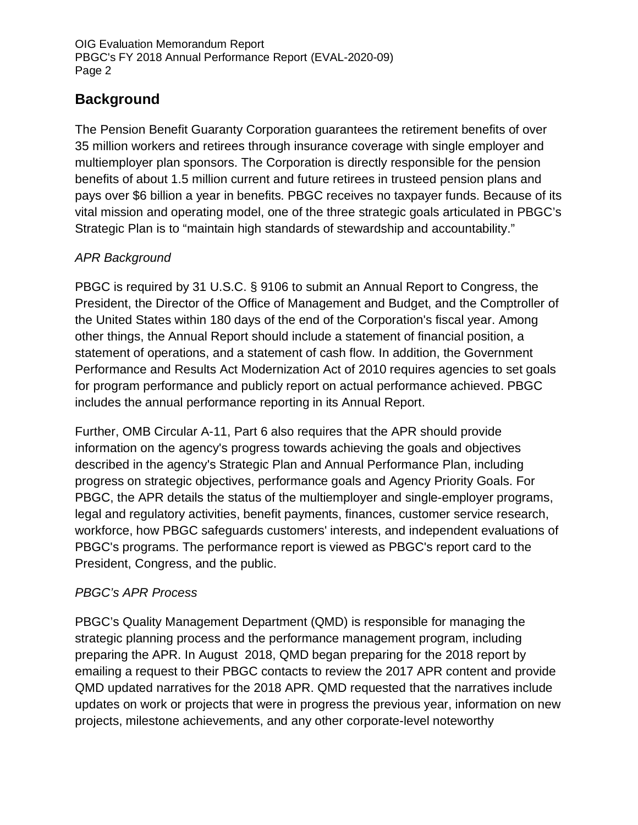# **Background**

The Pension Benefit Guaranty Corporation guarantees the retirement benefits of over 35 million workers and retirees through insurance coverage with single employer and multiemployer plan sponsors. The Corporation is directly responsible for the pension benefits of about 1.5 million current and future retirees in trusteed pension plans and pays over \$6 billion a year in benefits. PBGC receives no taxpayer funds. Because of its vital mission and operating model, one of the three strategic goals articulated in PBGC's Strategic Plan is to "maintain high standards of stewardship and accountability."

## *APR Background*

PBGC is required by 31 U.S.C. § 9106 to submit an Annual Report to Congress, the President, the Director of the Office of Management and Budget, and the Comptroller of the United States within 180 days of the end of the Corporation's fiscal year. Among other things, the Annual Report should include a statement of financial position, a statement of operations, and a statement of cash flow. In addition, the Government Performance and Results Act Modernization Act of 2010 requires agencies to set goals for program performance and publicly report on actual performance achieved. PBGC includes the annual performance reporting in its Annual Report.

Further, OMB Circular A-11, Part 6 also requires that the APR should provide information on the agency's progress towards achieving the goals and objectives described in the agency's Strategic Plan and Annual Performance Plan, including progress on strategic objectives, performance goals and Agency Priority Goals. For PBGC, the APR details the status of the multiemployer and single-employer programs, legal and regulatory activities, benefit payments, finances, customer service research, workforce, how PBGC safeguards customers' interests, and independent evaluations of PBGC's programs. The performance report is viewed as PBGC's report card to the President, Congress, and the public.

### *PBGC's APR Process*

PBGC's Quality Management Department (QMD) is responsible for managing the strategic planning process and the performance management program, including preparing the APR. In August 2018, QMD began preparing for the 2018 report by emailing a request to their PBGC contacts to review the 2017 APR content and provide QMD updated narratives for the 2018 APR. QMD requested that the narratives include updates on work or projects that were in progress the previous year, information on new projects, milestone achievements, and any other corporate-level noteworthy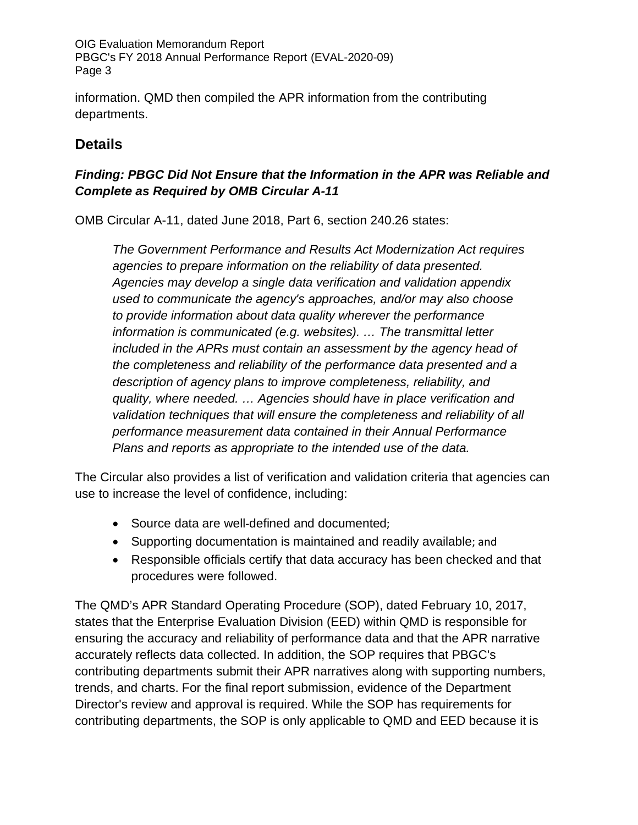information. QMD then compiled the APR information from the contributing departments.

# **Details**

### *Finding: PBGC Did Not Ensure that the Information in the APR was Reliable and Complete as Required by OMB Circular A-11*

OMB Circular A-11, dated June 2018, Part 6, section 240.26 states:

*The Government Performance and Results Act Modernization Act requires agencies to prepare information on the reliability of data presented. Agencies may develop a single data verification and validation appendix used to communicate the agency's approaches, and/or may also choose to provide information about data quality wherever the performance information is communicated (e.g. websites). … The transmittal letter included in the APRs must contain an assessment by the agency head of the completeness and reliability of the performance data presented and a description of agency plans to improve completeness, reliability, and quality, where needed. … Agencies should have in place verification and validation techniques that will ensure the completeness and reliability of all performance measurement data contained in their Annual Performance Plans and reports as appropriate to the intended use of the data.*

The Circular also provides a list of verification and validation criteria that agencies can use to increase the level of confidence, including:

- Source data are well-defined and documented;
- Supporting documentation is maintained and readily available; and
- Responsible officials certify that data accuracy has been checked and that procedures were followed.

The QMD's APR Standard Operating Procedure (SOP), dated February 10, 2017, states that the Enterprise Evaluation Division (EED) within QMD is responsible for ensuring the accuracy and reliability of performance data and that the APR narrative accurately reflects data collected. In addition, the SOP requires that PBGC's contributing departments submit their APR narratives along with supporting numbers, trends, and charts. For the final report submission, evidence of the Department Director's review and approval is required. While the SOP has requirements for contributing departments, the SOP is only applicable to QMD and EED because it is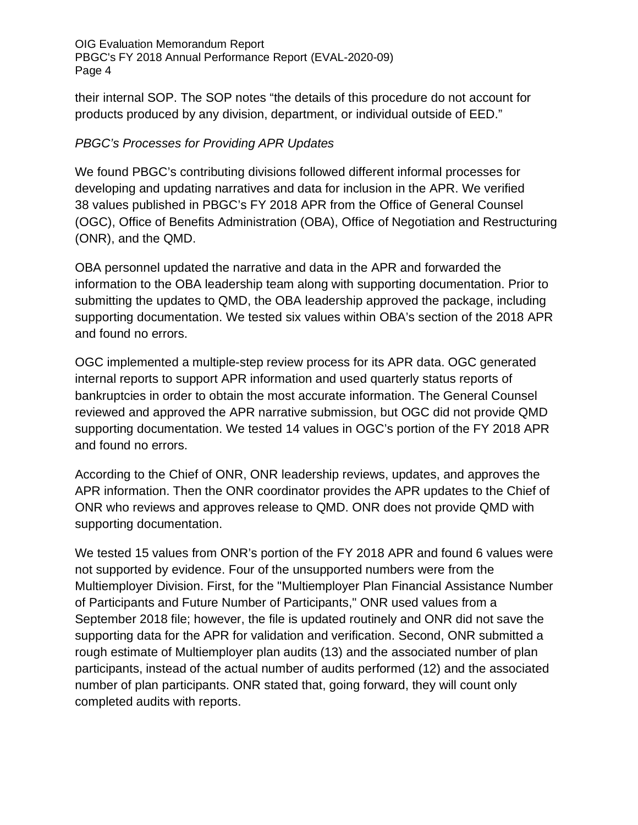their internal SOP. The SOP notes "the details of this procedure do not account for products produced by any division, department, or individual outside of EED."

#### *PBGC's Processes for Providing APR Updates*

We found PBGC's contributing divisions followed different informal processes for developing and updating narratives and data for inclusion in the APR. We verified 38 values published in PBGC's FY 2018 APR from the Office of General Counsel (OGC), Office of Benefits Administration (OBA), Office of Negotiation and Restructuring (ONR), and the QMD.

OBA personnel updated the narrative and data in the APR and forwarded the information to the OBA leadership team along with supporting documentation. Prior to submitting the updates to QMD, the OBA leadership approved the package, including supporting documentation. We tested six values within OBA's section of the 2018 APR and found no errors.

OGC implemented a multiple-step review process for its APR data. OGC generated internal reports to support APR information and used quarterly status reports of bankruptcies in order to obtain the most accurate information. The General Counsel reviewed and approved the APR narrative submission, but OGC did not provide QMD supporting documentation. We tested 14 values in OGC's portion of the FY 2018 APR and found no errors.

According to the Chief of ONR, ONR leadership reviews, updates, and approves the APR information. Then the ONR coordinator provides the APR updates to the Chief of ONR who reviews and approves release to QMD. ONR does not provide QMD with supporting documentation.

We tested 15 values from ONR's portion of the FY 2018 APR and found 6 values were not supported by evidence. Four of the unsupported numbers were from the Multiemployer Division. First, for the "Multiemployer Plan Financial Assistance Number of Participants and Future Number of Participants," ONR used values from a September 2018 file; however, the file is updated routinely and ONR did not save the supporting data for the APR for validation and verification. Second, ONR submitted a rough estimate of Multiemployer plan audits (13) and the associated number of plan participants, instead of the actual number of audits performed (12) and the associated number of plan participants. ONR stated that, going forward, they will count only completed audits with reports.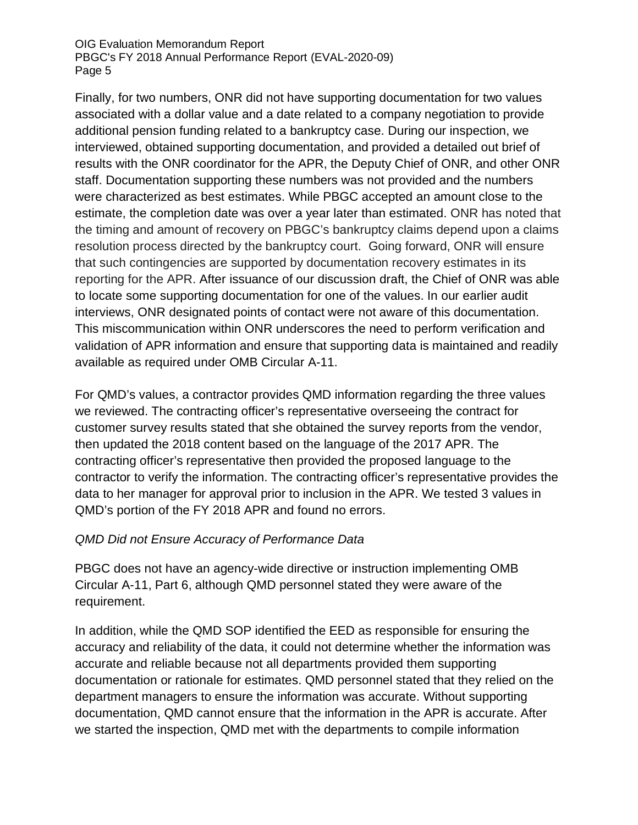Finally, for two numbers, ONR did not have supporting documentation for two values associated with a dollar value and a date related to a company negotiation to provide additional pension funding related to a bankruptcy case. During our inspection, we interviewed, obtained supporting documentation, and provided a detailed out brief of results with the ONR coordinator for the APR, the Deputy Chief of ONR, and other ONR staff. Documentation supporting these numbers was not provided and the numbers were characterized as best estimates. While PBGC accepted an amount close to the estimate, the completion date was over a year later than estimated. ONR has noted that the timing and amount of recovery on PBGC's bankruptcy claims depend upon a claims resolution process directed by the bankruptcy court. Going forward, ONR will ensure that such contingencies are supported by documentation recovery estimates in its reporting for the APR. After issuance of our discussion draft, the Chief of ONR was able to locate some supporting documentation for one of the values. In our earlier audit interviews, ONR designated points of contact were not aware of this documentation. This miscommunication within ONR underscores the need to perform verification and validation of APR information and ensure that supporting data is maintained and readily available as required under OMB Circular A-11.

For QMD's values, a contractor provides QMD information regarding the three values we reviewed. The contracting officer's representative overseeing the contract for customer survey results stated that she obtained the survey reports from the vendor, then updated the 2018 content based on the language of the 2017 APR. The contracting officer's representative then provided the proposed language to the contractor to verify the information. The contracting officer's representative provides the data to her manager for approval prior to inclusion in the APR. We tested 3 values in QMD's portion of the FY 2018 APR and found no errors.

#### *QMD Did not Ensure Accuracy of Performance Data*

PBGC does not have an agency-wide directive or instruction implementing OMB Circular A-11, Part 6, although QMD personnel stated they were aware of the requirement.

In addition, while the QMD SOP identified the EED as responsible for ensuring the accuracy and reliability of the data, it could not determine whether the information was accurate and reliable because not all departments provided them supporting documentation or rationale for estimates. QMD personnel stated that they relied on the department managers to ensure the information was accurate. Without supporting documentation, QMD cannot ensure that the information in the APR is accurate. After we started the inspection, QMD met with the departments to compile information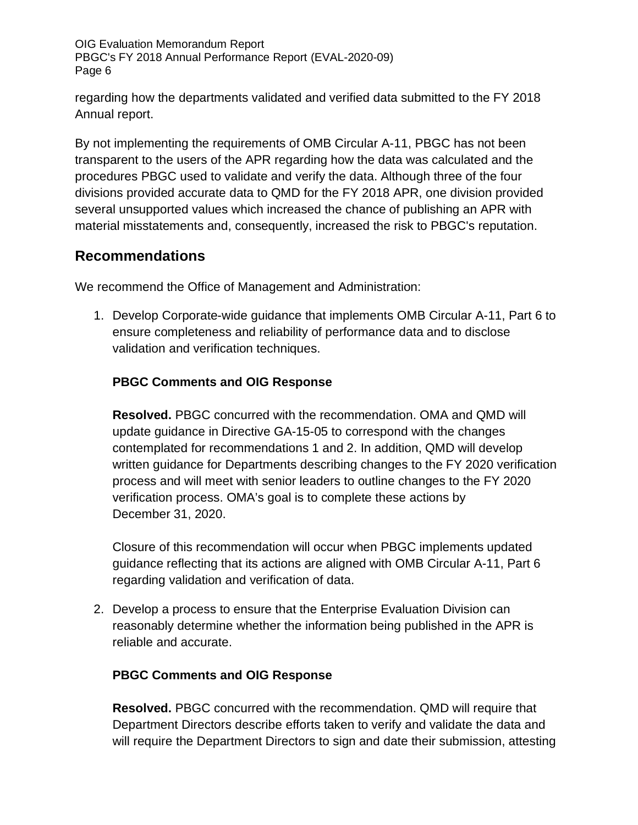regarding how the departments validated and verified data submitted to the FY 2018 Annual report.

By not implementing the requirements of OMB Circular A-11, PBGC has not been transparent to the users of the APR regarding how the data was calculated and the procedures PBGC used to validate and verify the data. Although three of the four divisions provided accurate data to QMD for the FY 2018 APR, one division provided several unsupported values which increased the chance of publishing an APR with material misstatements and, consequently, increased the risk to PBGC's reputation.

# **Recommendations**

We recommend the Office of Management and Administration:

1. Develop Corporate-wide guidance that implements OMB Circular A-11, Part 6 to ensure completeness and reliability of performance data and to disclose validation and verification techniques.

### **PBGC Comments and OIG Response**

**Resolved.** PBGC concurred with the recommendation. OMA and QMD will update guidance in Directive GA-15-05 to correspond with the changes contemplated for recommendations 1 and 2. In addition, QMD will develop written guidance for Departments describing changes to the FY 2020 verification process and will meet with senior leaders to outline changes to the FY 2020 verification process. OMA's goal is to complete these actions by December 31, 2020.

Closure of this recommendation will occur when PBGC implements updated guidance reflecting that its actions are aligned with OMB Circular A-11, Part 6 regarding validation and verification of data.

2. Develop a process to ensure that the Enterprise Evaluation Division can reasonably determine whether the information being published in the APR is reliable and accurate.

#### **PBGC Comments and OIG Response**

**Resolved.** PBGC concurred with the recommendation. QMD will require that Department Directors describe efforts taken to verify and validate the data and will require the Department Directors to sign and date their submission, attesting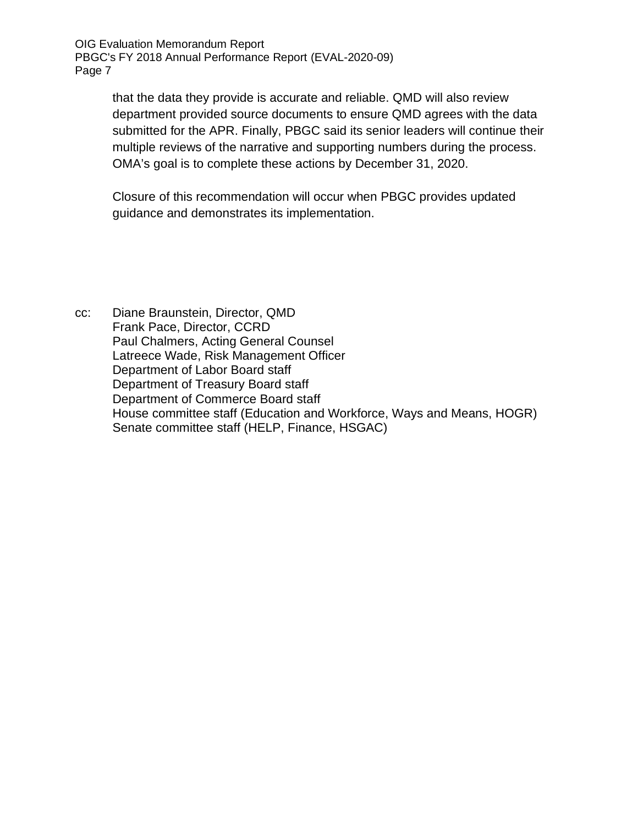> that the data they provide is accurate and reliable. QMD will also review department provided source documents to ensure QMD agrees with the data submitted for the APR. Finally, PBGC said its senior leaders will continue their multiple reviews of the narrative and supporting numbers during the process. OMA's goal is to complete these actions by December 31, 2020.

Closure of this recommendation will occur when PBGC provides updated guidance and demonstrates its implementation.

cc: Diane Braunstein, Director, QMD Frank Pace, Director, CCRD Paul Chalmers, Acting General Counsel Latreece Wade, Risk Management Officer Department of Labor Board staff Department of Treasury Board staff Department of Commerce Board staff House committee staff (Education and Workforce, Ways and Means, HOGR) Senate committee staff (HELP, Finance, HSGAC)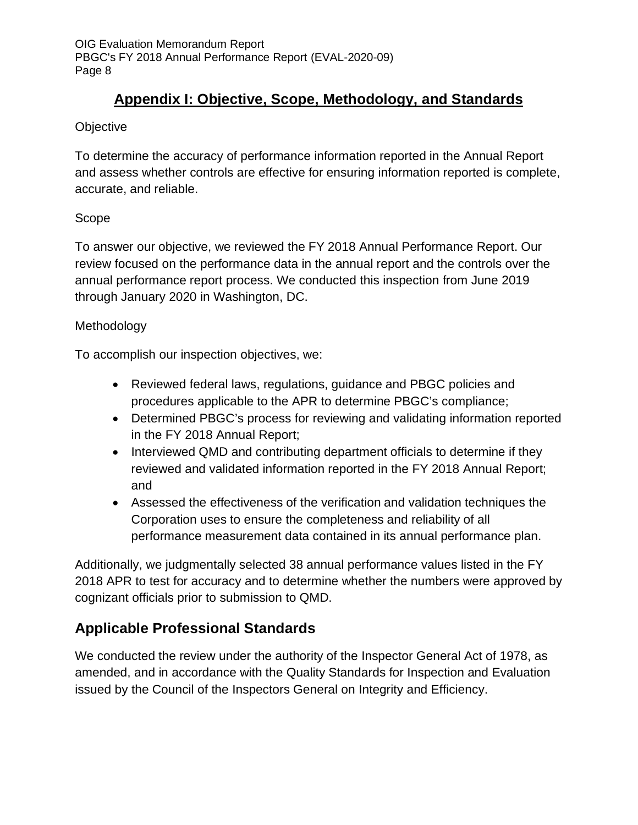# **Appendix I: Objective, Scope, Methodology, and Standards**

### **Objective**

To determine the accuracy of performance information reported in the Annual Report and assess whether controls are effective for ensuring information reported is complete, accurate, and reliable.

### Scope

To answer our objective, we reviewed the FY 2018 Annual Performance Report. Our review focused on the performance data in the annual report and the controls over the annual performance report process. We conducted this inspection from June 2019 through January 2020 in Washington, DC.

### Methodology

To accomplish our inspection objectives, we:

- Reviewed federal laws, regulations, guidance and PBGC policies and procedures applicable to the APR to determine PBGC's compliance;
- Determined PBGC's process for reviewing and validating information reported in the FY 2018 Annual Report;
- Interviewed QMD and contributing department officials to determine if they reviewed and validated information reported in the FY 2018 Annual Report; and
- Assessed the effectiveness of the verification and validation techniques the Corporation uses to ensure the completeness and reliability of all performance measurement data contained in its annual performance plan.

Additionally, we judgmentally selected 38 annual performance values listed in the FY 2018 APR to test for accuracy and to determine whether the numbers were approved by cognizant officials prior to submission to QMD.

# **Applicable Professional Standards**

We conducted the review under the authority of the Inspector General Act of 1978, as amended, and in accordance with the Quality Standards for Inspection and Evaluation issued by the Council of the Inspectors General on Integrity and Efficiency.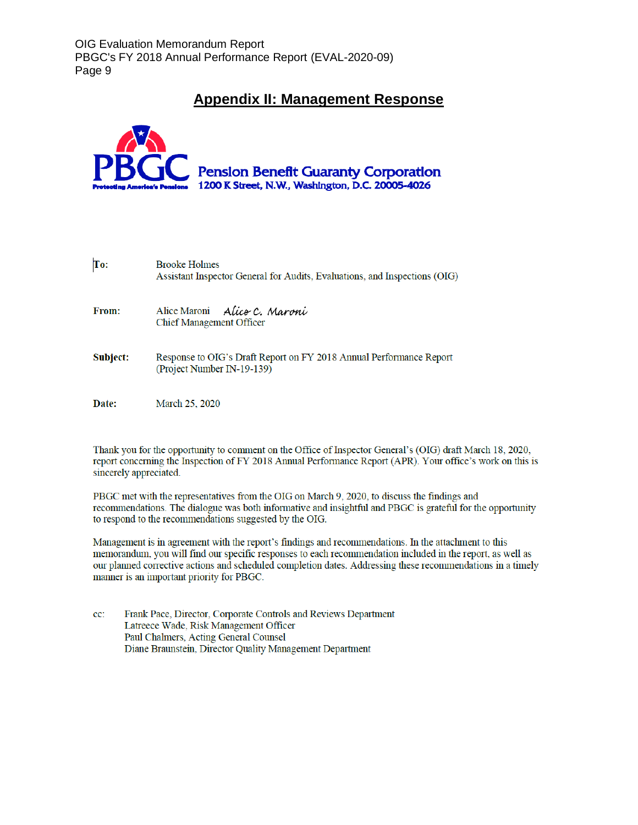### **Appendix II: Management Response**



| To:          | <b>Brooke Holmes</b><br>Assistant Inspector General for Audits, Evaluations, and Inspections (OIG) |
|--------------|----------------------------------------------------------------------------------------------------|
| From:        | Alice Maroni Alice C. Maroni<br><b>Chief Management Officer</b>                                    |
| Subject:     | Response to OIG's Draft Report on FY 2018 Annual Performance Report<br>(Project Number IN-19-139)  |
| <b>Date:</b> | March 25, 2020                                                                                     |

Thank you for the opportunity to comment on the Office of Inspector General's (OIG) draft March 18, 2020, report concerning the Inspection of FY 2018 Annual Performance Report (APR). Your office's work on this is sincerely appreciated.

PBGC met with the representatives from the OIG on March 9, 2020, to discuss the findings and recommendations. The dialogue was both informative and insightful and PBGC is grateful for the opportunity to respond to the recommendations suggested by the OIG.

Management is in agreement with the report's findings and recommendations. In the attachment to this memorandum, you will find our specific responses to each recommendation included in the report, as well as our planned corrective actions and scheduled completion dates. Addressing these recommendations in a timely manner is an important priority for PBGC.

cc: Frank Pace, Director, Corporate Controls and Reviews Department Latreece Wade, Risk Management Officer Paul Chalmers, Acting General Counsel Diane Braunstein, Director Quality Management Department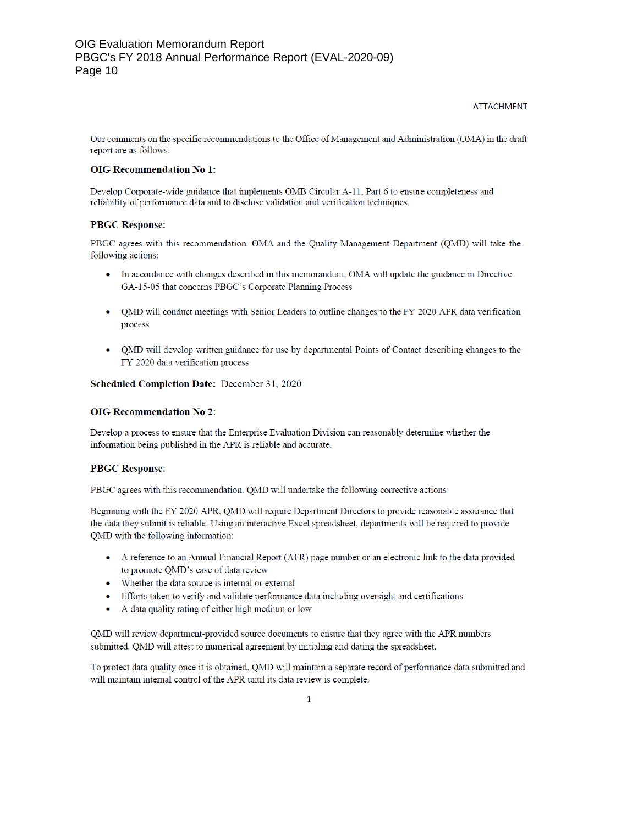#### **ATTACHMENT**

Our comments on the specific recommendations to the Office of Management and Administration (OMA) in the draft report are as follows:

#### **OIG Recommendation No 1:**

Develop Corporate-wide guidance that implements OMB Circular A-11, Part 6 to ensure completeness and reliability of performance data and to disclose validation and verification techniques.

#### **PBGC Response:**

PBGC agrees with this recommendation. OMA and the Quality Management Department (QMD) will take the following actions:

- In accordance with changes described in this memorandum, OMA will update the guidance in Directive GA-15-05 that concerns PBGC's Corporate Planning Process
- OMD will conduct meetings with Senior Leaders to outline changes to the FY 2020 APR data verification process
- QMD will develop written guidance for use by departmental Points of Contact describing changes to the FY 2020 data verification process

#### Scheduled Completion Date: December 31, 2020

#### **OIG Recommendation No 2:**

Develop a process to ensure that the Enterprise Evaluation Division can reasonably determine whether the information being published in the APR is reliable and accurate.

#### **PBGC Response:**

PBGC agrees with this recommendation. OMD will undertake the following corrective actions:

Beginning with the FY 2020 APR, QMD will require Department Directors to provide reasonable assurance that the data they submit is reliable. Using an interactive Excel spreadsheet, departments will be required to provide QMD with the following information:

- A reference to an Annual Financial Report (AFR) page number or an electronic link to the data provided to promote QMD's ease of data review
- Whether the data source is internal or external
- Efforts taken to verify and validate performance data including oversight and certifications
- A data quality rating of either high medium or low

QMD will review department-provided source documents to ensure that they agree with the APR numbers submitted. QMD will attest to numerical agreement by initialing and dating the spreadsheet.

To protect data quality once it is obtained, QMD will maintain a separate record of performance data submitted and will maintain internal control of the APR until its data review is complete.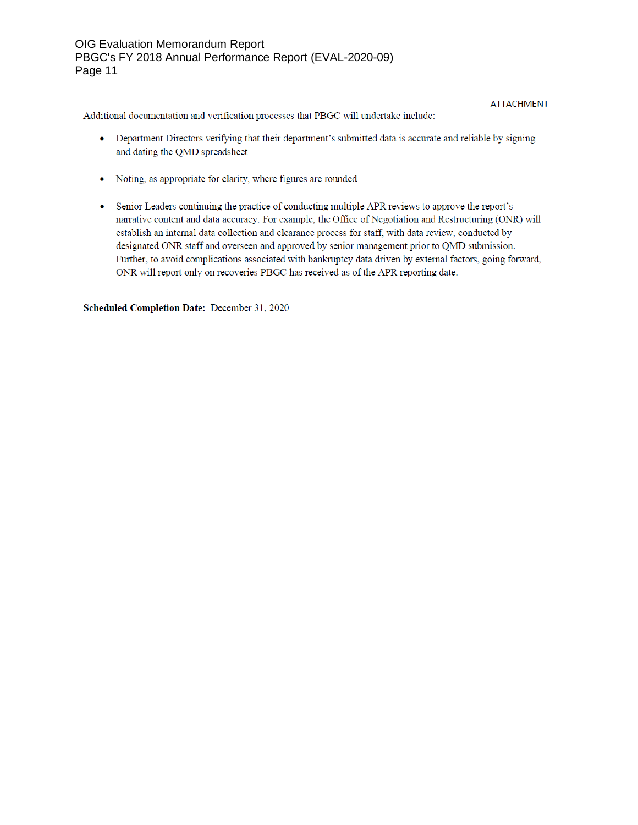#### **ATTACHMENT**

Additional documentation and verification processes that PBGC will undertake include:

- Department Directors verifying that their department's submitted data is accurate and reliable by signing and dating the QMD spreadsheet
- Noting, as appropriate for clarity, where figures are rounded
- Senior Leaders continuing the practice of conducting multiple APR reviews to approve the report's narrative content and data accuracy. For example, the Office of Negotiation and Restructuring (ONR) will establish an internal data collection and clearance process for staff, with data review, conducted by designated ONR staff and overseen and approved by senior management prior to QMD submission. Further, to avoid complications associated with bankruptcy data driven by external factors, going forward, ONR will report only on recoveries PBGC has received as of the APR reporting date.

Scheduled Completion Date: December 31, 2020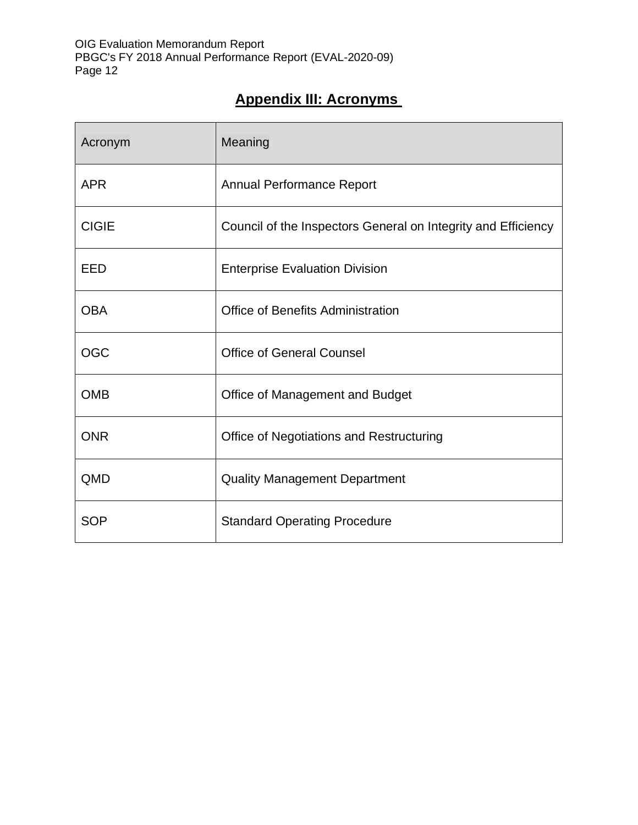# **Appendix III: Acronyms**

| Acronym      | Meaning                                                       |
|--------------|---------------------------------------------------------------|
| <b>APR</b>   | <b>Annual Performance Report</b>                              |
| <b>CIGIE</b> | Council of the Inspectors General on Integrity and Efficiency |
| <b>EED</b>   | <b>Enterprise Evaluation Division</b>                         |
| <b>OBA</b>   | <b>Office of Benefits Administration</b>                      |
| <b>OGC</b>   | <b>Office of General Counsel</b>                              |
| <b>OMB</b>   | Office of Management and Budget                               |
| <b>ONR</b>   | Office of Negotiations and Restructuring                      |
| QMD          | <b>Quality Management Department</b>                          |
| <b>SOP</b>   | <b>Standard Operating Procedure</b>                           |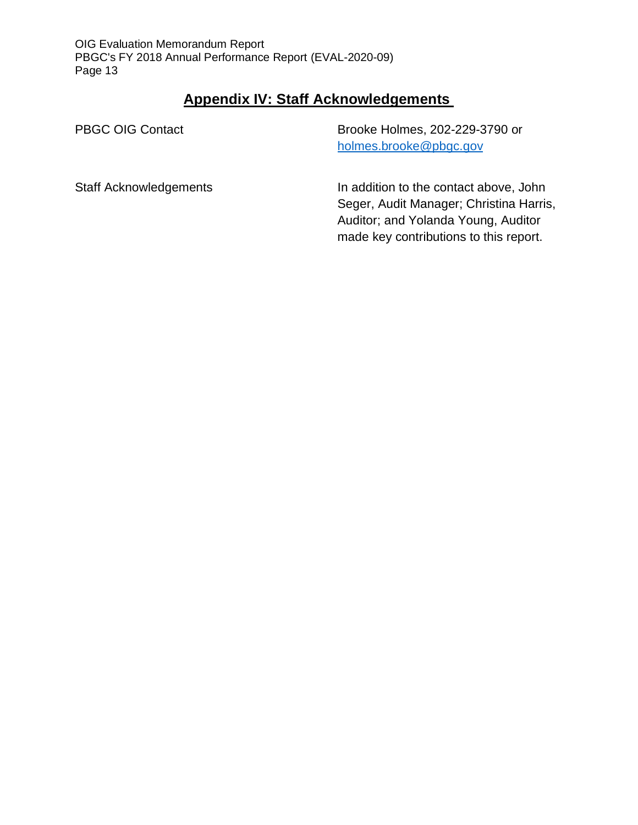## **Appendix IV: Staff Acknowledgements**

PBGC OIG Contact

Brooke Holmes, 202-229-3790 or [holmes.brooke@pbgc.gov](mailto:holmes.brooke@pbgc.gov) 

Staff Acknowledgements

In addition to the contact above, John Seger, Audit Manager; Christina Harris, Auditor; and Yolanda Young, Auditor made key contributions to this report.